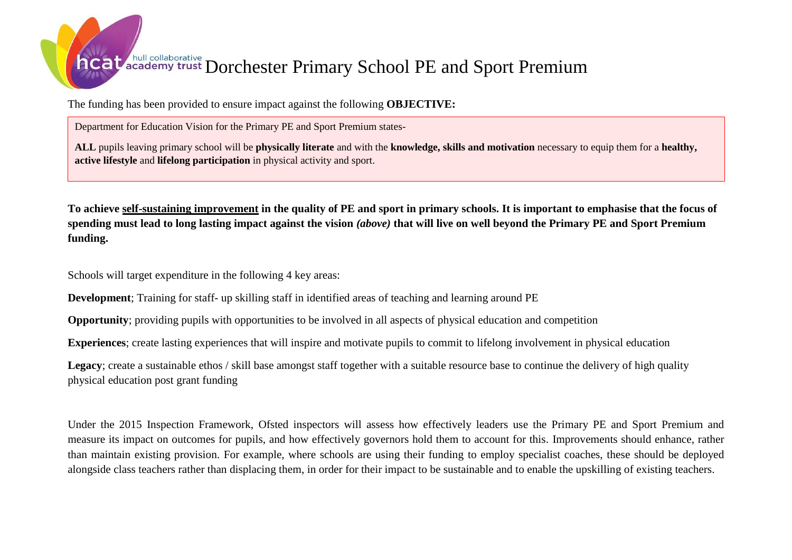## heat academy trust Dorchester Primary School PE and Sport Premium

The funding has been provided to ensure impact against the following **OBJECTIVE:**

Department for Education Vision for the Primary PE and Sport Premium states-

**ALL** pupils leaving primary school will be **physically literate** and with the **knowledge, skills and motivation** necessary to equip them for a **healthy, active lifestyle** and **lifelong participation** in physical activity and sport.

**To achieve self-sustaining improvement in the quality of PE and sport in primary schools. It is important to emphasise that the focus of spending must lead to long lasting impact against the vision** *(above)* **that will live on well beyond the Primary PE and Sport Premium funding.** 

Schools will target expenditure in the following 4 key areas:

**Development**; Training for staff- up skilling staff in identified areas of teaching and learning around PE

**Opportunity**; providing pupils with opportunities to be involved in all aspects of physical education and competition

**Experiences**; create lasting experiences that will inspire and motivate pupils to commit to lifelong involvement in physical education

Legacy; create a sustainable ethos / skill base amongst staff together with a suitable resource base to continue the delivery of high quality physical education post grant funding

Under the 2015 Inspection Framework, Ofsted inspectors will assess how effectively leaders use the Primary PE and Sport Premium and measure its impact on outcomes for pupils, and how effectively governors hold them to account for this. Improvements should enhance, rather than maintain existing provision. For example, where schools are using their funding to employ specialist coaches, these should be deployed alongside class teachers rather than displacing them, in order for their impact to be sustainable and to enable the upskilling of existing teachers.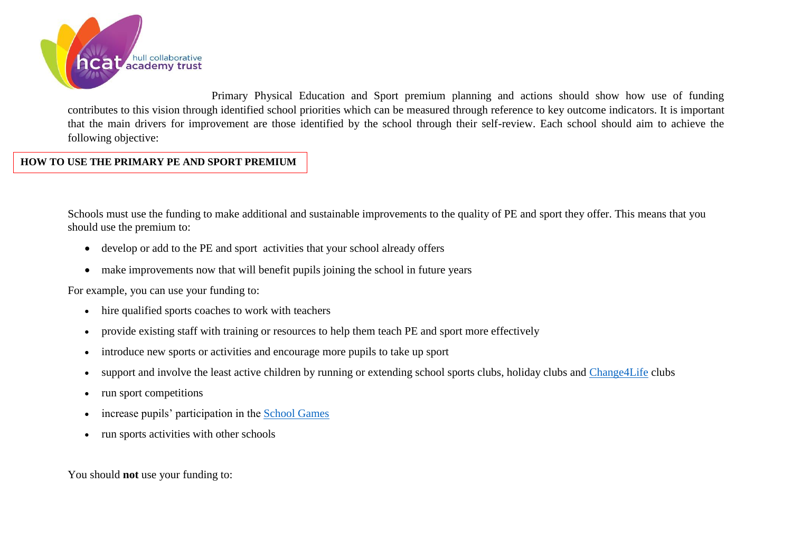

Primary Physical Education and Sport premium planning and actions should show how use of funding contributes to this vision through identified school priorities which can be measured through reference to key outcome indicators. It is important that the main drivers for improvement are those identified by the school through their self-review. Each school should aim to achieve the following objective:

## **HOW TO USE THE PRIMARY PE AND SPORT PREMIUM**

Schools must use the funding to make additional and sustainable improvements to the quality of PE and sport they offer. This means that you should use the premium to:

- develop or add to the PE and sport activities that your school already offers
- make improvements now that will benefit pupils joining the school in future years

For example, you can use your funding to:

- hire qualified sports coaches to work with teachers
- provide existing staff with training or resources to help them teach PE and sport more effectively
- introduce new sports or activities and encourage more pupils to take up sport
- support and involve the least active children by running or extending school sports clubs, holiday clubs and [Change4Life](http://www.nhs.uk/change4life/Pages/change-for-life.aspx) clubs
- run sport competitions
- increase pupils' participation in the [School Games](https://www.gov.uk/government/policies/getting-more-people-playing-sport/supporting-pages/the-school-games)
- run sports activities with other schools

You should **not** use your funding to: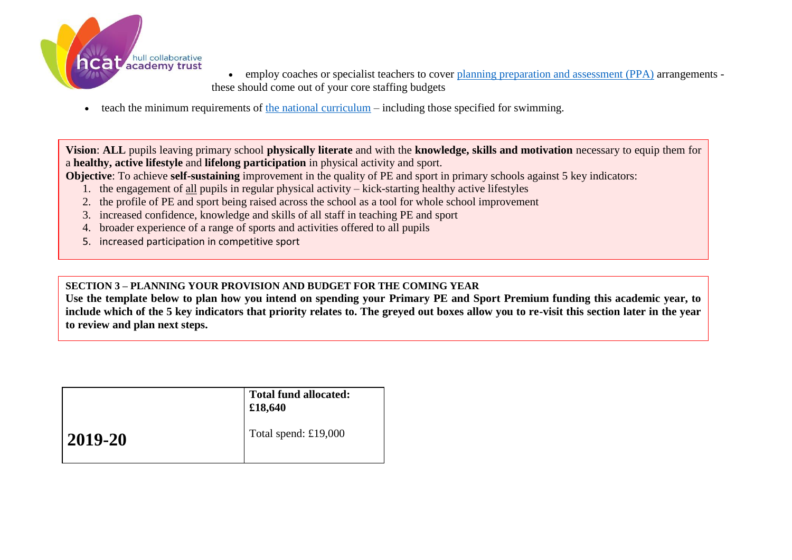

- employ coaches or specialist teachers to cover [planning preparation and assessment \(PPA\)](https://www.gov.uk/government/uploads/system/uploads/attachment_data/file/341951/School_teachers__pay_and_conditions_2014.pdf) arrangements these should come out of your core staffing budgets
- $\bullet$  teach the minimum requirements of [the national curriculum](https://www.gov.uk/government/publications/national-curriculum-in-england-physical-education-programmes-of-study) including those specified for swimming.

**Vision**: **ALL** pupils leaving primary school **physically literate** and with the **knowledge, skills and motivation** necessary to equip them for a **healthy, active lifestyle** and **lifelong participation** in physical activity and sport.

**Objective**: To achieve **self-sustaining** improvement in the quality of PE and sport in primary schools against 5 key indicators:

- 1. the engagement of all pupils in regular physical activity kick-starting healthy active lifestyles
- 2. the profile of PE and sport being raised across the school as a tool for whole school improvement
- 3. increased confidence, knowledge and skills of all staff in teaching PE and sport
- 4. broader experience of a range of sports and activities offered to all pupils
- 5. increased participation in competitive sport

## **SECTION 3 – PLANNING YOUR PROVISION AND BUDGET FOR THE COMING YEAR**

**Use the template below to plan how you intend on spending your Primary PE and Sport Premium funding this academic year, to include which of the 5 key indicators that priority relates to. The greyed out boxes allow you to re-visit this section later in the year to review and plan next steps.**

|         | <b>Total fund allocated:</b><br>£18,640 |
|---------|-----------------------------------------|
| 2019-20 | Total spend: £19,000                    |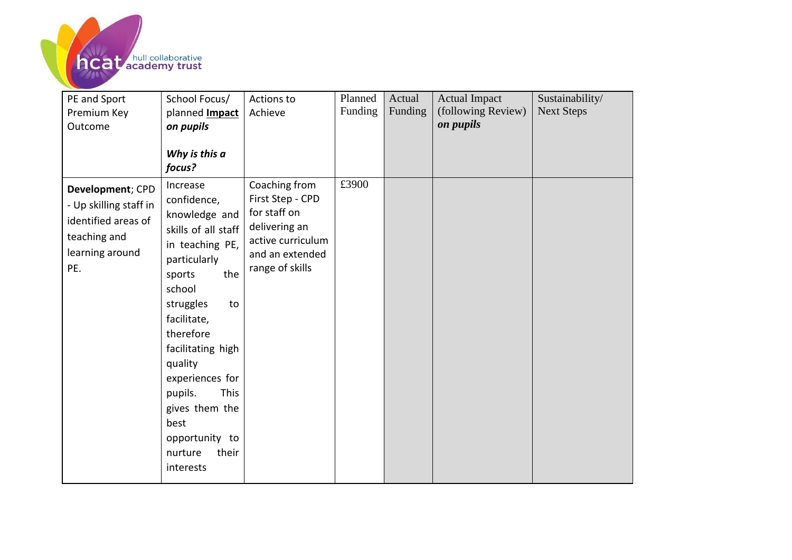

| PE and Sport<br>Premium Key<br>Outcome                                                                      | School Focus/<br>planned <b>Impact</b><br>on pupils<br>Why is this a<br>focus?                                                                                                                                                                                                                                                         | Actions to<br>Achieve                                                                                                         | Planned<br>Funding | Actual<br>Funding | <b>Actual Impact</b><br>(following Review)<br>on pupils | Sustainability/<br><b>Next Steps</b> |
|-------------------------------------------------------------------------------------------------------------|----------------------------------------------------------------------------------------------------------------------------------------------------------------------------------------------------------------------------------------------------------------------------------------------------------------------------------------|-------------------------------------------------------------------------------------------------------------------------------|--------------------|-------------------|---------------------------------------------------------|--------------------------------------|
| Development; CPD<br>- Up skilling staff in<br>identified areas of<br>teaching and<br>learning around<br>PE. | Increase<br>confidence,<br>knowledge and<br>skills of all staff<br>in teaching PE,<br>particularly<br>the<br>sports<br>school<br>struggles<br>to<br>facilitate,<br>therefore<br>facilitating high<br>quality<br>experiences for<br>pupils.<br><b>This</b><br>gives them the<br>best<br>opportunity to<br>their<br>nurture<br>interests | Coaching from<br>First Step - CPD<br>for staff on<br>delivering an<br>active curriculum<br>and an extended<br>range of skills | £3900              |                   |                                                         |                                      |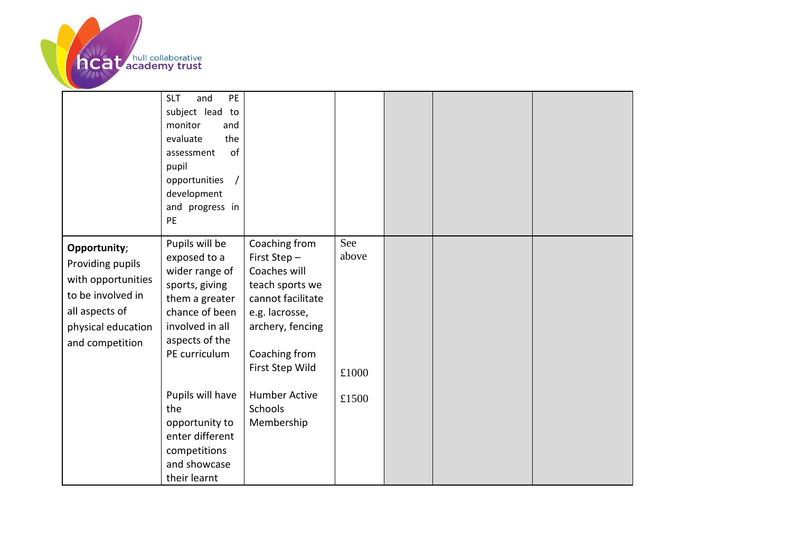

|                                                                                                                                        | PE<br><b>SLT</b><br>and<br>subject lead to<br>monitor<br>and<br>the<br>evaluate<br>of<br>assessment<br>pupil<br>opportunities<br>development<br>and progress in<br>PE |                                                                                                                                                                |                       |  |  |
|----------------------------------------------------------------------------------------------------------------------------------------|-----------------------------------------------------------------------------------------------------------------------------------------------------------------------|----------------------------------------------------------------------------------------------------------------------------------------------------------------|-----------------------|--|--|
| Opportunity;<br>Providing pupils<br>with opportunities<br>to be involved in<br>all aspects of<br>physical education<br>and competition | Pupils will be<br>exposed to a<br>wider range of<br>sports, giving<br>them a greater<br>chance of been<br>involved in all<br>aspects of the<br>PE curriculum          | Coaching from<br>First Step-<br>Coaches will<br>teach sports we<br>cannot facilitate<br>e.g. lacrosse,<br>archery, fencing<br>Coaching from<br>First Step Wild | See<br>above<br>£1000 |  |  |
|                                                                                                                                        | Pupils will have<br>the<br>opportunity to<br>enter different<br>competitions<br>and showcase<br>their learnt                                                          | <b>Humber Active</b><br><b>Schools</b><br>Membership                                                                                                           | £1500                 |  |  |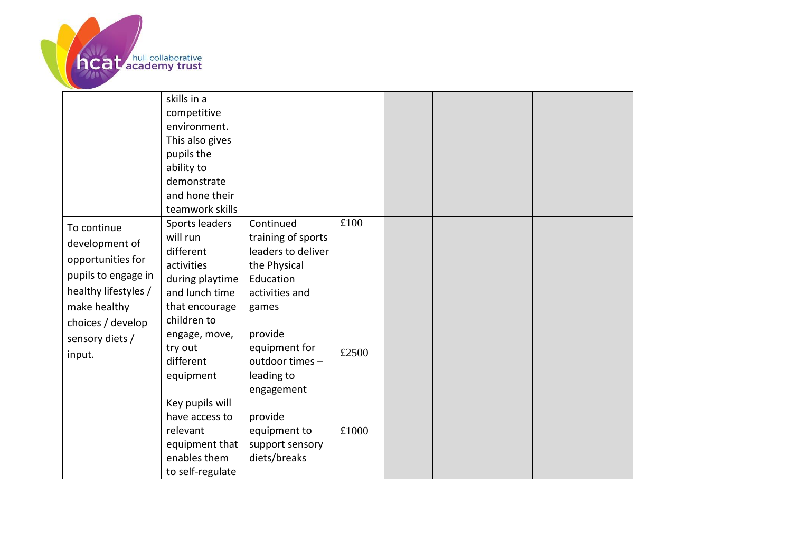

|                                                                                                                                        | skills in a<br>competitive<br>environment.<br>This also gives<br>pupils the<br>ability to<br>demonstrate<br>and hone their<br>teamwork skills |                                                                                                               |       |  |  |
|----------------------------------------------------------------------------------------------------------------------------------------|-----------------------------------------------------------------------------------------------------------------------------------------------|---------------------------------------------------------------------------------------------------------------|-------|--|--|
| To continue<br>development of<br>opportunities for<br>pupils to engage in<br>healthy lifestyles /<br>make healthy<br>choices / develop | Sports leaders<br>will run<br>different<br>activities<br>during playtime<br>and lunch time<br>that encourage<br>children to                   | Continued<br>training of sports<br>leaders to deliver<br>the Physical<br>Education<br>activities and<br>games | £100  |  |  |
| sensory diets /<br>input.                                                                                                              | engage, move,<br>try out<br>different<br>equipment<br>Key pupils will<br>have access to                                                       | provide<br>equipment for<br>outdoor times -<br>leading to<br>engagement<br>provide                            | £2500 |  |  |
|                                                                                                                                        | relevant<br>equipment that<br>enables them<br>to self-regulate                                                                                | equipment to<br>support sensory<br>diets/breaks                                                               | £1000 |  |  |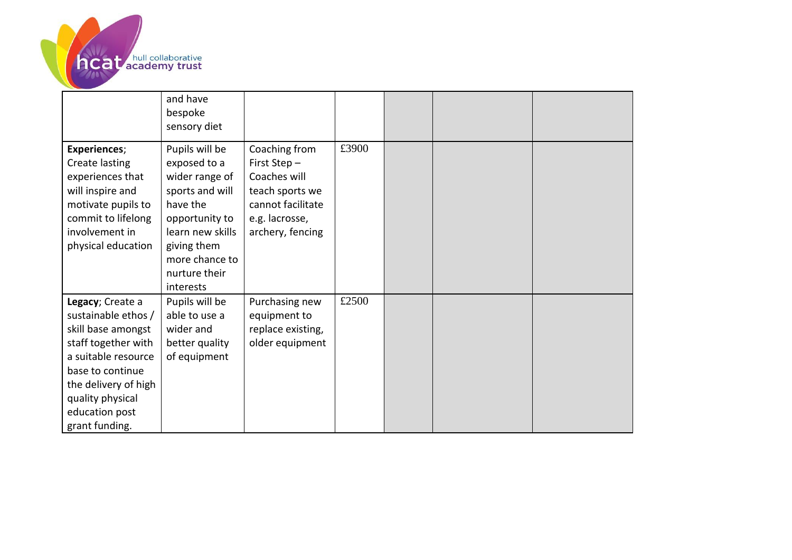

|                                                                                                                                                                                                                 | and have<br>bespoke<br>sensory diet                                                                                                                                                  |                                                                                                                            |       |  |  |
|-----------------------------------------------------------------------------------------------------------------------------------------------------------------------------------------------------------------|--------------------------------------------------------------------------------------------------------------------------------------------------------------------------------------|----------------------------------------------------------------------------------------------------------------------------|-------|--|--|
| <b>Experiences;</b><br>Create lasting<br>experiences that<br>will inspire and<br>motivate pupils to<br>commit to lifelong<br>involvement in<br>physical education                                               | Pupils will be<br>exposed to a<br>wider range of<br>sports and will<br>have the<br>opportunity to<br>learn new skills<br>giving them<br>more chance to<br>nurture their<br>interests | Coaching from<br>First Step-<br>Coaches will<br>teach sports we<br>cannot facilitate<br>e.g. lacrosse,<br>archery, fencing | £3900 |  |  |
| Legacy; Create a<br>sustainable ethos /<br>skill base amongst<br>staff together with<br>a suitable resource<br>base to continue<br>the delivery of high<br>quality physical<br>education post<br>grant funding. | Pupils will be<br>able to use a<br>wider and<br>better quality<br>of equipment                                                                                                       | Purchasing new<br>equipment to<br>replace existing,<br>older equipment                                                     | £2500 |  |  |